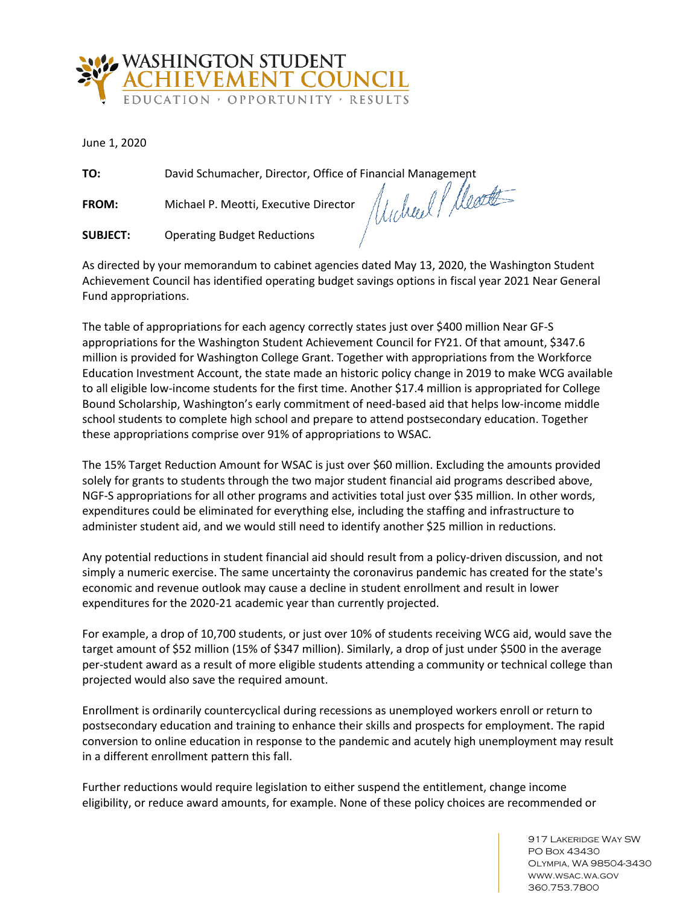

June 1, 2020

**FROM:** Michael P. Meotti, Executive Director

**TO:** David Schumacher, Director, Office of Financial Management<br>**FROM:** Michael P. Meotti, Executive Director *((()) MULI* / *()* 

**SUBJECT:** Operating Budget Reductions

As directed by your memorandum to cabinet agencies dated May 13, 2020, the Washington Student Achievement Council has identified operating budget savings options in fiscal year 2021 Near General Fund appropriations.

The table of appropriations for each agency correctly states just over \$400 million Near GF-S appropriations for the Washington Student Achievement Council for FY21. Of that amount, \$347.6 million is provided for Washington College Grant. Together with appropriations from the Workforce Education Investment Account, the state made an historic policy change in 2019 to make WCG available to all eligible low-income students for the first time. Another \$17.4 million is appropriated for College Bound Scholarship, Washington's early commitment of need-based aid that helps low-income middle school students to complete high school and prepare to attend postsecondary education. Together these appropriations comprise over 91% of appropriations to WSAC.

The 15% Target Reduction Amount for WSAC is just over \$60 million. Excluding the amounts provided solely for grants to students through the two major student financial aid programs described above, NGF-S appropriations for all other programs and activities total just over \$35 million. In other words, expenditures could be eliminated for everything else, including the staffing and infrastructure to administer student aid, and we would still need to identify another \$25 million in reductions.

Any potential reductions in student financial aid should result from a policy-driven discussion, and not simply a numeric exercise. The same uncertainty the coronavirus pandemic has created for the state's economic and revenue outlook may cause a decline in student enrollment and result in lower expenditures for the 2020-21 academic year than currently projected.

For example, a drop of 10,700 students, or just over 10% of students receiving WCG aid, would save the target amount of \$52 million (15% of \$347 million). Similarly, a drop of just under \$500 in the average per-student award as a result of more eligible students attending a community or technical college than projected would also save the required amount.

Enrollment is ordinarily countercyclical during recessions as unemployed workers enroll or return to postsecondary education and training to enhance their skills and prospects for employment. The rapid conversion to online education in response to the pandemic and acutely high unemployment may result in a different enrollment pattern this fall.

Further reductions would require legislation to either suspend the entitlement, change income eligibility, or reduce award amounts, for example. None of these policy choices are recommended or

> 917 LAKERIDGE WAY SW PO Box 43430 Olympia, WA 98504-3430 www.wsac.wa.gov 360.753.7800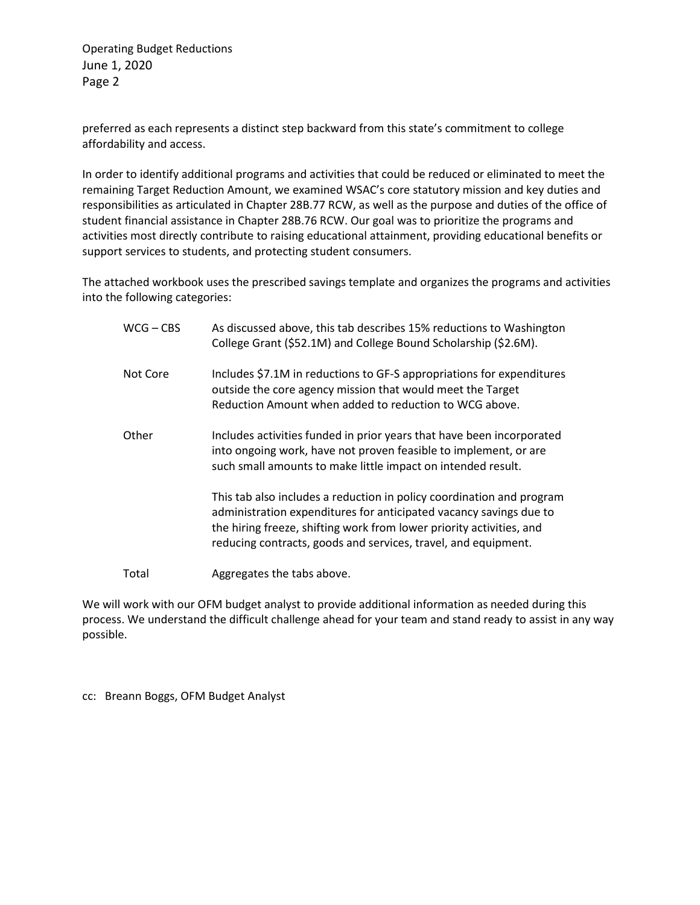Operating Budget Reductions June 1, 2020 Page 2

preferred as each represents a distinct step backward from this state's commitment to college affordability and access.

In order to identify additional programs and activities that could be reduced or eliminated to meet the remaining Target Reduction Amount, we examined WSAC's core statutory mission and key duties and responsibilities as articulated in Chapter 28B.77 RCW, as well as the purpose and duties of the office of student financial assistance in Chapter 28B.76 RCW. Our goal was to prioritize the programs and activities most directly contribute to raising educational attainment, providing educational benefits or support services to students, and protecting student consumers.

The attached workbook uses the prescribed savings template and organizes the programs and activities into the following categories:

| $WCG - CBS$ | As discussed above, this tab describes 15% reductions to Washington<br>College Grant (\$52.1M) and College Bound Scholarship (\$2.6M).                                                                                                                                                |
|-------------|---------------------------------------------------------------------------------------------------------------------------------------------------------------------------------------------------------------------------------------------------------------------------------------|
| Not Core    | Includes \$7.1M in reductions to GF-S appropriations for expenditures<br>outside the core agency mission that would meet the Target<br>Reduction Amount when added to reduction to WCG above.                                                                                         |
| Other       | Includes activities funded in prior years that have been incorporated<br>into ongoing work, have not proven feasible to implement, or are<br>such small amounts to make little impact on intended result.                                                                             |
|             | This tab also includes a reduction in policy coordination and program<br>administration expenditures for anticipated vacancy savings due to<br>the hiring freeze, shifting work from lower priority activities, and<br>reducing contracts, goods and services, travel, and equipment. |
| Total       | Aggregates the tabs above.                                                                                                                                                                                                                                                            |

We will work with our OFM budget analyst to provide additional information as needed during this process. We understand the difficult challenge ahead for your team and stand ready to assist in any way possible.

cc: Breann Boggs, OFM Budget Analyst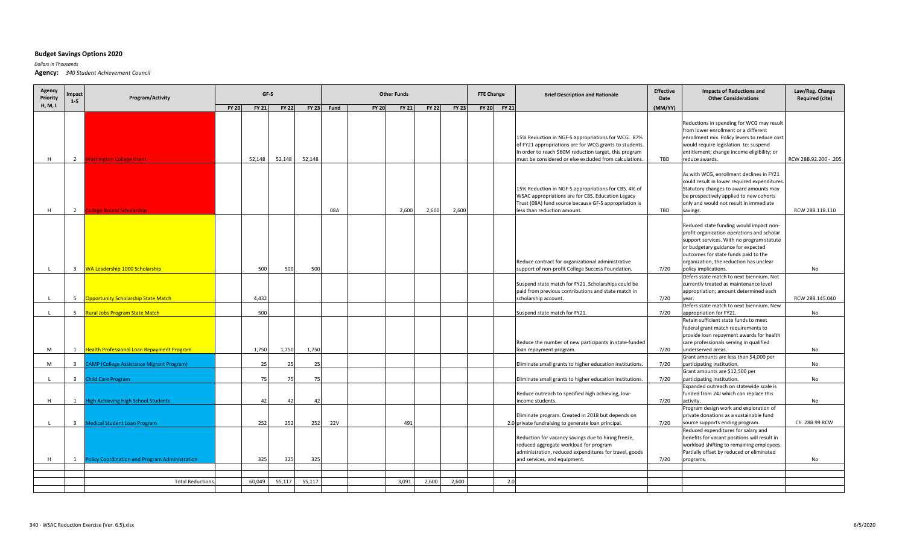## **Budget Savings Options 2020**

*Dollars in Thousands*

**Agency:** *340 Student Achievement Council*

| Agency<br>Priority | <b>Impact</b><br>$1 - 5$ | Program/Activity                                 | GF-S         |              |              |              | <b>Other Funds</b> |              |              |              |              |  | <b>FTE Change</b> |              | <b>Brief Description and Rationale</b>                                                                                                                                                                                           | <b>Effective</b><br>Date | <b>Impacts of Reductions and</b><br><b>Other Considerations</b>                                                                                                                                                                                                                                                                 | Law/Reg. Change<br><b>Required (cite)</b> |
|--------------------|--------------------------|--------------------------------------------------|--------------|--------------|--------------|--------------|--------------------|--------------|--------------|--------------|--------------|--|-------------------|--------------|----------------------------------------------------------------------------------------------------------------------------------------------------------------------------------------------------------------------------------|--------------------------|---------------------------------------------------------------------------------------------------------------------------------------------------------------------------------------------------------------------------------------------------------------------------------------------------------------------------------|-------------------------------------------|
| H, M, L            |                          |                                                  | <b>FY 20</b> | <b>FY 21</b> | <b>FY 22</b> | <b>FY 23</b> | Fund               | <b>FY 20</b> | <b>FY 21</b> | <b>FY 22</b> | <b>FY 23</b> |  | <b>FY 20</b>      | <b>FY 21</b> |                                                                                                                                                                                                                                  | (MM/YY)                  |                                                                                                                                                                                                                                                                                                                                 |                                           |
| H                  | $\overline{2}$           | <b>Washington College Grant</b>                  |              | 52,148       | 52,148       | 52,148       |                    |              |              |              |              |  |                   |              | 15% Reduction in NGF-S appropriations for WCG. 87%<br>of FY21 appropriations are for WCG grants to students.<br>In order to reach \$60M reduction target, this program<br>must be considered or else excluded from calculations. | TBD                      | Reductions in spending for WCG may result<br>from lower enrollment or a different<br>enrollment mix. Policy levers to reduce cost<br>would require legislation to: suspend<br>entitlement; change income eligibility; or<br>reduce awards.                                                                                      | RCW 28B.92.200 - .205                     |
| H                  | 2                        | <b>Ollege Bound Scholarship</b>                  |              |              |              |              | 08A                |              | 2.600        | 2,600        | 2,600        |  |                   |              | 15% Reduction in NGF-S appropriations for CBS. 4% of<br>WSAC appropriations are for CBS. Education Legacy<br>Trust (08A) fund source because GF-S appropriation is<br>less than reduction amount.                                | TBD                      | As with WCG, enrollment declines in FY21<br>could result in lower required expenditures.<br>Statutory changes to award amounts may<br>be prospectively applied to new cohorts<br>only and would not result in immediate<br>savings.                                                                                             | RCW 28B.118.110                           |
|                    | $\overline{3}$           | WA Leadership 1000 Scholarship                   |              | 500          | 500          | 500          |                    |              |              |              |              |  |                   |              | Reduce contract for organizational administrative<br>support of non-profit College Success Foundation.                                                                                                                           | 7/20                     | Reduced state funding would impact non-<br>profit organization operations and scholar<br>support services. With no program statute<br>or budgetary guidance for expected<br>outcomes for state funds paid to the<br>organization, the reduction has unclear<br>policy implications.<br>Defers state match to next biennium. Not | No                                        |
|                    | 5                        | <b>Dpportunity Scholarship State Match</b>       |              | 4,432        |              |              |                    |              |              |              |              |  |                   |              | Suspend state match for FY21. Scholarships could be<br>paid from previous contributions and state match in<br>scholarship account.                                                                                               | 7/20                     | currently treated as maintenance level<br>appropriation; amount determined each<br>year.                                                                                                                                                                                                                                        | RCW 28B.145.040                           |
|                    | 5 <sup>5</sup>           | <b>Rural Jobs Program State Match</b>            |              | 500          |              |              |                    |              |              |              |              |  |                   |              | Suspend state match for FY21.                                                                                                                                                                                                    | 7/20                     | Defers state match to next biennium. New<br>appropriation for FY21.                                                                                                                                                                                                                                                             | No                                        |
| M                  | 1                        | Health Professional Loan Repayment Program       |              | 1,750        | 1,750        | 1,750        |                    |              |              |              |              |  |                   |              | Reduce the number of new participants in state-funded<br>loan repayment program.                                                                                                                                                 | 7/20                     | Retain sufficient state funds to meet<br>federal grant match requirements to<br>provide loan repayment awards for health<br>care professionals serving in qualified<br>underserved areas.                                                                                                                                       | No                                        |
|                    |                          |                                                  |              |              |              |              |                    |              |              |              |              |  |                   |              |                                                                                                                                                                                                                                  |                          | Grant amounts are less than \$4,000 per                                                                                                                                                                                                                                                                                         |                                           |
| M                  | $\overline{\mathbf{3}}$  | <b>CAMP (College Assistance Migrant Program)</b> |              | 25           | 25           | 25           |                    |              |              |              |              |  |                   |              | Eliminate small grants to higher education institutions.                                                                                                                                                                         | 7/20                     | participating institution.                                                                                                                                                                                                                                                                                                      | No                                        |
|                    | $\overline{3}$           | <b>Child Care Program</b>                        |              | 75           |              | 75           |                    |              |              |              |              |  |                   |              | Eliminate small grants to higher education institutions.<br>Reduce outreach to specified high achieving, low-                                                                                                                    | 7/20                     | Grant amounts are \$12,500 per<br>participating institution.<br>Expanded outreach on statewide scale is<br>funded from 24J which can replace this                                                                                                                                                                               | <b>No</b>                                 |
| H                  | 1                        | <b>High Achieving High School Students</b>       |              | 42           |              | $\Delta$     |                    |              |              |              |              |  |                   |              | income students.                                                                                                                                                                                                                 | 7/20                     | activity.                                                                                                                                                                                                                                                                                                                       | No                                        |
|                    | $\overline{\mathbf{3}}$  | <b>Medical Student Loan Program</b>              |              | 252          | 252          | 252          | <b>22V</b>         |              | 491          |              |              |  |                   |              | Eliminate program. Created in 2018 but depends on<br>2.0 private fundraising to generate loan principal.                                                                                                                         | 7/20                     | Program design work and exploration of<br>private donations as a sustainable fund<br>source supports ending program.                                                                                                                                                                                                            | Ch. 28B.99 RCW                            |
| H                  | 1                        | Policy Coordination and Program Administration   |              | 325          | 325          | 325          |                    |              |              |              |              |  |                   |              | Reduction for vacancy savings due to hiring freeze,<br>reduced aggregate workload for program<br>administration, reduced expenditures for travel, goods<br>and services, and equipment.                                          | 7/20                     | Reduced expenditures for salary and<br>benefits for vacant positions will result in<br>workload shifting to remaining employees<br>Partially offset by reduced or eliminated<br>programs.                                                                                                                                       | No                                        |
|                    |                          |                                                  |              |              |              |              |                    |              |              |              |              |  |                   |              |                                                                                                                                                                                                                                  |                          |                                                                                                                                                                                                                                                                                                                                 |                                           |
|                    |                          | <b>Total Reductions</b>                          |              | 60,049       | 55,117       | 55,117       |                    |              | 3,091        | 2,600        | 2,600        |  |                   | 2.0          |                                                                                                                                                                                                                                  |                          |                                                                                                                                                                                                                                                                                                                                 |                                           |
|                    |                          |                                                  |              |              |              |              |                    |              |              |              |              |  |                   |              |                                                                                                                                                                                                                                  |                          |                                                                                                                                                                                                                                                                                                                                 |                                           |